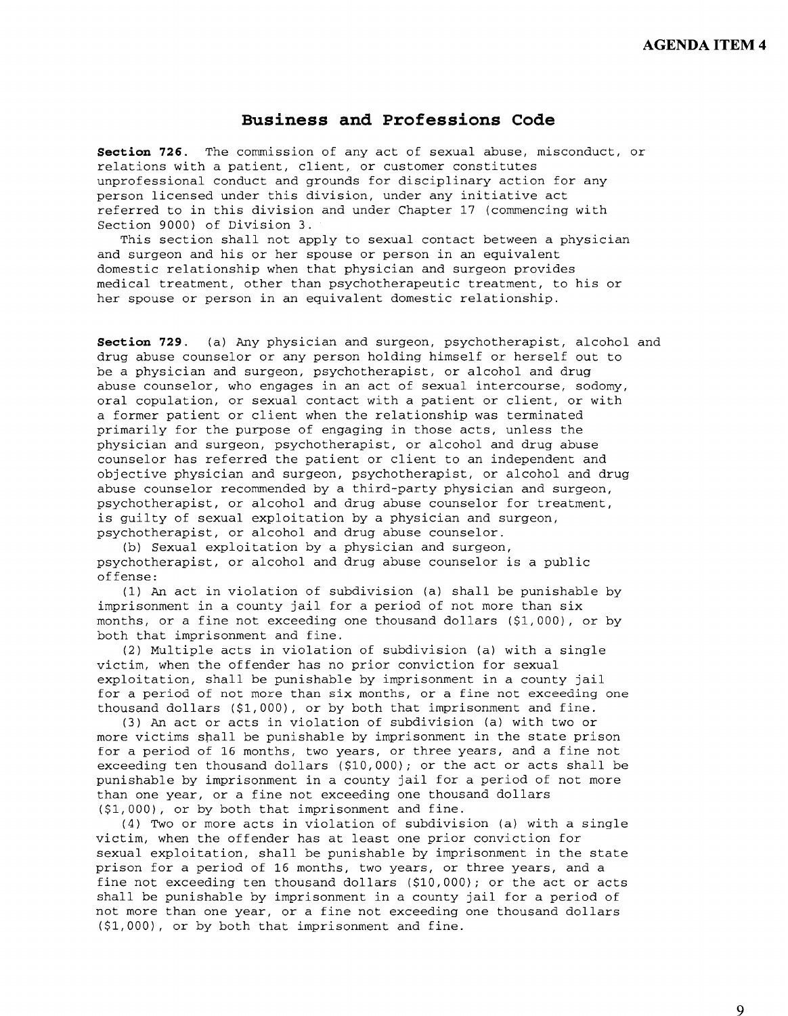## **Business and Professions Code**

**Section 726.** The commission of any act of sexual abuse, misconduct, or relations with a patient, client, or customer constitutes unprofessional conduct and grounds for disciplinary action for any person licensed under this division, under any initiative act referred to in this division and under Chapter 17 (commencing with Section 9000) of Division 3.

This section shall not apply to sexual contact between a physician and surgeon and his or her spouse or person in an equivalent domestic relationship when that physician and surgeon provides medical treatment, other than psychotherapeutic treatment, to his or her spouse or person in an equivalent domestic relationship.

**Section 729.** (a) Any physician and surgeon, psychotherapist, alcohol and drug abuse counselor or any person holding himself or herself out to be a physician and surgeon, psychotherapist, or alcohol and drug abuse counselor, who engages in an act of sexual intercourse, sodomy, oral copulation, or sexual contact with a patient or client, or with a former patient or client when the relationship was terminated primarily for the purpose of engaging in those acts, unless the physician and surgeon, psychotherapist, or alcohol and drug abuse counselor has referred the patient or client to an independent and objective physician and surgeon, psychotherapist, or alcohol and drug abuse counselor recommended by a third-party physician and surgeon, psychotherapist, or alcohol and drug abuse counselor for treatment, is guilty of sexual exploitation by a physician and surgeon, psychotherapist, or alcohol and drug abuse counselor.

(b) Sexual exploitation by a physician and surgeon, psychotherapist, or alcohol and drug abuse counselor is a public offense:

(1) An act in violation of subdivision (a) shall be punishable by imprisonment in a county jail for a period of not more than **six**  months, or a fine not exceeding one thousand dollars (\$1,000), or by both that imprisonment and fine.

(2) Multiple acts in violation of subdivision (a) with a single victim, when the offender has no prior conviction for sexual exploitation, shall be punishable by imprisonment in a county jail for a period of not more than six months, or a fine not exceeding one thousand dollars (\$1,000), or by both that imprisonment and fine.

(3) An act or acts in violation of subdivision (a) with two or more victims shall be punishable by imprisonment in the state prison for a period of 16 months, two years, or three years, and a fine not exceeding ten thousand dollars (\$10,000); or the act or acts shall be punishable by imprisonment in a county jail for a period of not more than one year, or a fine not exceeding one thousand dollars (\$1,000), or by both that imprisonment and fine.

(4) Two or more acts in violation of subdivision (a) with a single victim, when the offender has at least one prior conviction for sexual exploitation, shall be punishable by imprisonment in the state prison for a period of 16 months, two years, or three years, and a fine not exceeding ten thousand dollars (\$10,000); or the act or acts shall be punishable by imprisonment in a county jail for a period of not more than one year, or a fine not exceeding one thousand dollars (\$1,000), or by both that imprisonment and fine.